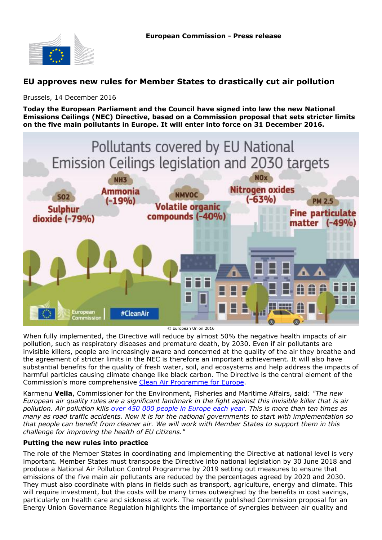

## **EU approves new rules for Member States to drastically cut air pollution**

Brussels, 14 December 2016

**Today the European Parliament and the Council have signed into law the new National Emissions Ceilings (NEC) Directive, based on a Commission proposal that sets stricter limits on the five main pollutants in Europe. It will enter into force on 31 December 2016.**



© European Union 2016

When fully implemented, the Directive will reduce by almost 50% the negative health impacts of air pollution, such as respiratory diseases and premature death, by 2030. Even if air pollutants are invisible killers, people are increasingly aware and concerned at the quality of the air they breathe and the agreement of stricter limits in the NEC is therefore an important achievement. It will also have substantial benefits for the quality of fresh water, soil, and ecosystems and help address the impacts of harmful particles causing climate change like black carbon. The Directive is the central element of the Commission's more comprehensive [Clean Air Programme for Europe](http://ec.europa.eu/environment/air/clean_air_policy.htm).

Karmenu **Vella**, Commissioner for the Environment, Fisheries and Maritime Affairs, said: *"The new European air quality rules are a significant landmark in the fight against this invisible killer that is air pollution. Air pollution kills over 450 000 people in Europe each year. This is more than ten times as many as road traffic accidents. Now it is for the national governments to start with implementation so that people can benefit from cleaner air. We will work with Member States to support them in this challenge for improving the health of EU citizens."*

## **Putting the new rules into practice**

The role of the Member States in coordinating and implementing the Directive at national level is very important. Member States must transpose the Directive into national legislation by 30 June 2018 and produce a National Air Pollution Control Programme by 2019 setting out measures to ensure that emissions of the five main air pollutants are reduced by the percentages agreed by 2020 and 2030. They must also coordinate with plans in fields such as transport, agriculture, energy and climate. This will require investment, but the costs will be many times outweighed by the benefits in cost savings, particularly on health care and sickness at work. The recently published Commission proposal for an Energy Union Governance Regulation highlights the importance of synergies between air quality and